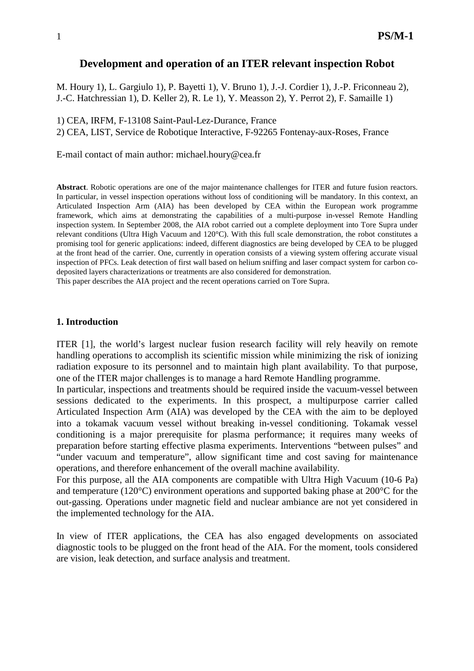#### **Development and operation of an ITER relevant inspection Robot**

M. Houry 1), L. Gargiulo 1), P. Bayetti 1), V. Bruno 1), J.-J. Cordier 1), J.-P. Friconneau 2), J.-C. Hatchressian 1), D. Keller 2), R. Le 1), Y. Measson 2), Y. Perrot 2), F. Samaille 1)

1) CEA, IRFM, F-13108 Saint-Paul-Lez-Durance, France

2) CEA, LIST, Service de Robotique Interactive, F-92265 Fontenay-aux-Roses, France

E-mail contact of main author: michael.houry@cea.fr

**Abstract**. Robotic operations are one of the major maintenance challenges for ITER and future fusion reactors. In particular, in vessel inspection operations without loss of conditioning will be mandatory. In this context, an Articulated Inspection Arm (AIA) has been developed by CEA within the European work programme framework, which aims at demonstrating the capabilities of a multi-purpose in-vessel Remote Handling inspection system. In September 2008, the AIA robot carried out a complete deployment into Tore Supra under relevant conditions (Ultra High Vacuum and 120°C). With this full scale demonstration, the robot constitutes a promising tool for generic applications: indeed, different diagnostics are being developed by CEA to be plugged at the front head of the carrier. One, currently in operation consists of a viewing system offering accurate visual inspection of PFCs. Leak detection of first wall based on helium sniffing and laser compact system for carbon codeposited layers characterizations or treatments are also considered for demonstration.

This paper describes the AIA project and the recent operations carried on Tore Supra.

#### **1. Introduction**

ITER [1], the world's largest nuclear fusion research facility will rely heavily on remote handling operations to accomplish its scientific mission while minimizing the risk of ionizing radiation exposure to its personnel and to maintain high plant availability. To that purpose, one of the ITER major challenges is to manage a hard Remote Handling programme.

In particular, inspections and treatments should be required inside the vacuum-vessel between sessions dedicated to the experiments. In this prospect, a multipurpose carrier called Articulated Inspection Arm (AIA) was developed by the CEA with the aim to be deployed into a tokamak vacuum vessel without breaking in-vessel conditioning. Tokamak vessel conditioning is a major prerequisite for plasma performance; it requires many weeks of preparation before starting effective plasma experiments. Interventions "between pulses" and "under vacuum and temperature", allow significant time and cost saving for maintenance operations, and therefore enhancement of the overall machine availability.

For this purpose, all the AIA components are compatible with Ultra High Vacuum (10-6 Pa) and temperature (120°C) environment operations and supported baking phase at 200°C for the out-gassing. Operations under magnetic field and nuclear ambiance are not yet considered in the implemented technology for the AIA.

In view of ITER applications, the CEA has also engaged developments on associated diagnostic tools to be plugged on the front head of the AIA. For the moment, tools considered are vision, leak detection, and surface analysis and treatment.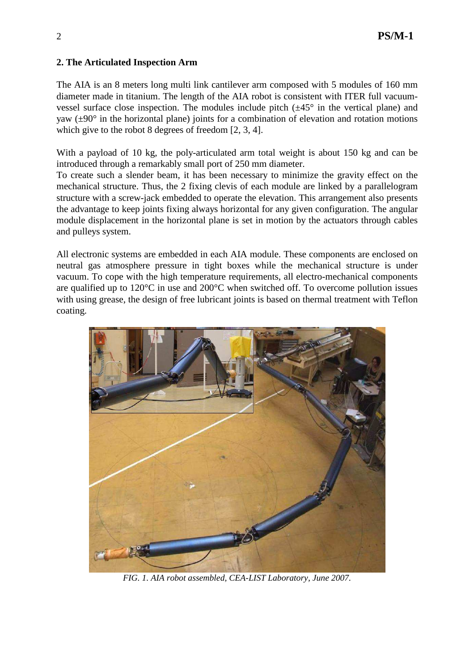## **2. The Articulated Inspection Arm**

The AIA is an 8 meters long multi link cantilever arm composed with 5 modules of 160 mm diameter made in titanium. The length of the AIA robot is consistent with ITER full vacuumvessel surface close inspection. The modules include pitch  $(\pm 45^{\circ})$  in the vertical plane) and yaw ( $\pm 90^\circ$  in the horizontal plane) joints for a combination of elevation and rotation motions which give to the robot 8 degrees of freedom [2, 3, 4].

With a payload of 10 kg, the poly-articulated arm total weight is about 150 kg and can be introduced through a remarkably small port of 250 mm diameter.

To create such a slender beam, it has been necessary to minimize the gravity effect on the mechanical structure. Thus, the 2 fixing clevis of each module are linked by a parallelogram structure with a screw-jack embedded to operate the elevation. This arrangement also presents the advantage to keep joints fixing always horizontal for any given configuration. The angular module displacement in the horizontal plane is set in motion by the actuators through cables and pulleys system.

All electronic systems are embedded in each AIA module. These components are enclosed on neutral gas atmosphere pressure in tight boxes while the mechanical structure is under vacuum. To cope with the high temperature requirements, all electro-mechanical components are qualified up to 120°C in use and 200°C when switched off. To overcome pollution issues with using grease, the design of free lubricant joints is based on thermal treatment with Teflon coating.



*FIG. 1. AIA robot assembled, CEA-LIST Laboratory, June 2007.*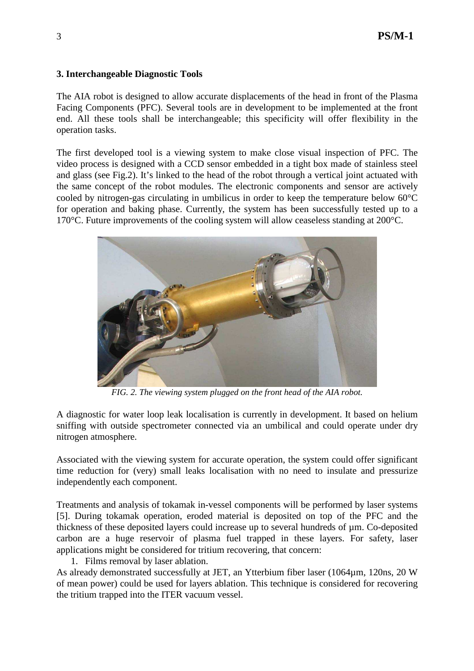#### **3. Interchangeable Diagnostic Tools**

The AIA robot is designed to allow accurate displacements of the head in front of the Plasma Facing Components (PFC). Several tools are in development to be implemented at the front end. All these tools shall be interchangeable; this specificity will offer flexibility in the operation tasks.

The first developed tool is a viewing system to make close visual inspection of PFC. The video process is designed with a CCD sensor embedded in a tight box made of stainless steel and glass (see Fig.2). It's linked to the head of the robot through a vertical joint actuated with the same concept of the robot modules. The electronic components and sensor are actively cooled by nitrogen-gas circulating in umbilicus in order to keep the temperature below 60°C for operation and baking phase. Currently, the system has been successfully tested up to a 170°C. Future improvements of the cooling system will allow ceaseless standing at 200°C.



*FIG. 2. The viewing system plugged on the front head of the AIA robot.* 

A diagnostic for water loop leak localisation is currently in development. It based on helium sniffing with outside spectrometer connected via an umbilical and could operate under dry nitrogen atmosphere.

Associated with the viewing system for accurate operation, the system could offer significant time reduction for (very) small leaks localisation with no need to insulate and pressurize independently each component.

Treatments and analysis of tokamak in-vessel components will be performed by laser systems [5]. During tokamak operation, eroded material is deposited on top of the PFC and the thickness of these deposited layers could increase up to several hundreds of µm. Co-deposited carbon are a huge reservoir of plasma fuel trapped in these layers. For safety, laser applications might be considered for tritium recovering, that concern:

1. Films removal by laser ablation.

As already demonstrated successfully at JET, an Ytterbium fiber laser (1064µm, 120ns, 20 W of mean power) could be used for layers ablation. This technique is considered for recovering the tritium trapped into the ITER vacuum vessel.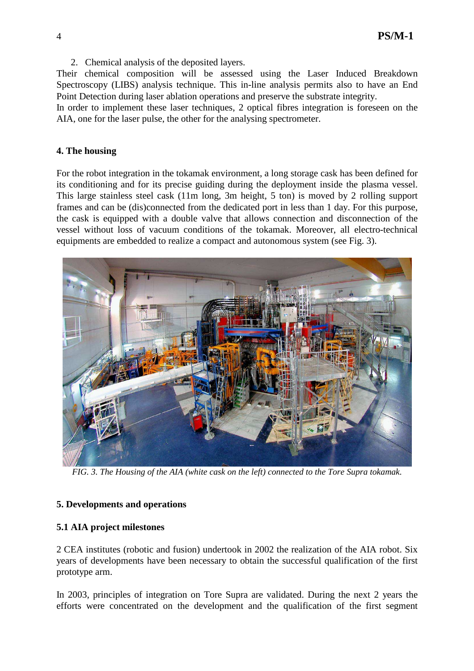2. Chemical analysis of the deposited layers.

Their chemical composition will be assessed using the Laser Induced Breakdown Spectroscopy (LIBS) analysis technique. This in-line analysis permits also to have an End Point Detection during laser ablation operations and preserve the substrate integrity.

In order to implement these laser techniques, 2 optical fibres integration is foreseen on the AIA, one for the laser pulse, the other for the analysing spectrometer.

## **4. The housing**

For the robot integration in the tokamak environment, a long storage cask has been defined for its conditioning and for its precise guiding during the deployment inside the plasma vessel. This large stainless steel cask (11m long, 3m height, 5 ton) is moved by 2 rolling support frames and can be (dis)connected from the dedicated port in less than 1 day. For this purpose, the cask is equipped with a double valve that allows connection and disconnection of the vessel without loss of vacuum conditions of the tokamak. Moreover, all electro-technical equipments are embedded to realize a compact and autonomous system (see Fig. 3).



*FIG. 3. The Housing of the AIA (white cask on the left) connected to the Tore Supra tokamak.* 

# **5. Developments and operations**

# **5.1 AIA project milestones**

2 CEA institutes (robotic and fusion) undertook in 2002 the realization of the AIA robot. Six years of developments have been necessary to obtain the successful qualification of the first prototype arm.

In 2003, principles of integration on Tore Supra are validated. During the next 2 years the efforts were concentrated on the development and the qualification of the first segment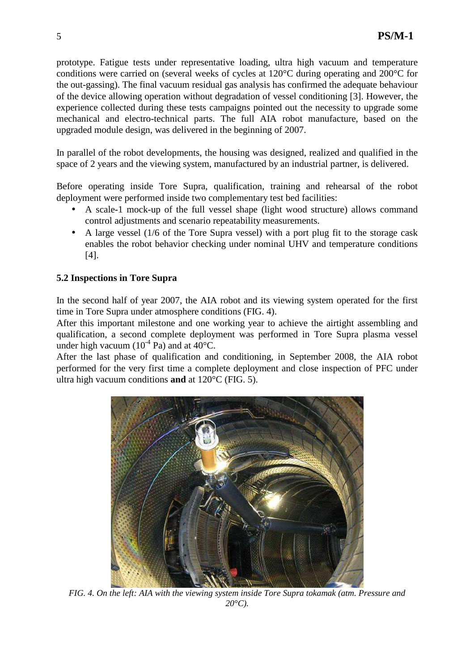prototype. Fatigue tests under representative loading, ultra high vacuum and temperature conditions were carried on (several weeks of cycles at 120°C during operating and 200°C for the out-gassing). The final vacuum residual gas analysis has confirmed the adequate behaviour of the device allowing operation without degradation of vessel conditioning [3]. However, the experience collected during these tests campaigns pointed out the necessity to upgrade some mechanical and electro-technical parts. The full AIA robot manufacture, based on the upgraded module design, was delivered in the beginning of 2007.

In parallel of the robot developments, the housing was designed, realized and qualified in the space of 2 years and the viewing system, manufactured by an industrial partner, is delivered.

Before operating inside Tore Supra, qualification, training and rehearsal of the robot deployment were performed inside two complementary test bed facilities:

- A scale-1 mock-up of the full vessel shape (light wood structure) allows command control adjustments and scenario repeatability measurements.
- A large vessel (1/6 of the Tore Supra vessel) with a port plug fit to the storage cask enables the robot behavior checking under nominal UHV and temperature conditions [4].

## **5.2 Inspections in Tore Supra**

In the second half of year 2007, the AIA robot and its viewing system operated for the first time in Tore Supra under atmosphere conditions (FIG. 4).

After this important milestone and one working year to achieve the airtight assembling and qualification, a second complete deployment was performed in Tore Supra plasma vessel under high vacuum  $(10^{-4}$  Pa) and at 40<sup>o</sup>C.

After the last phase of qualification and conditioning, in September 2008, the AIA robot performed for the very first time a complete deployment and close inspection of PFC under ultra high vacuum conditions **and** at 120°C (FIG. 5).



*FIG. 4. On the left: AIA with the viewing system inside Tore Supra tokamak (atm. Pressure and*   $20^{\circ}C$ ).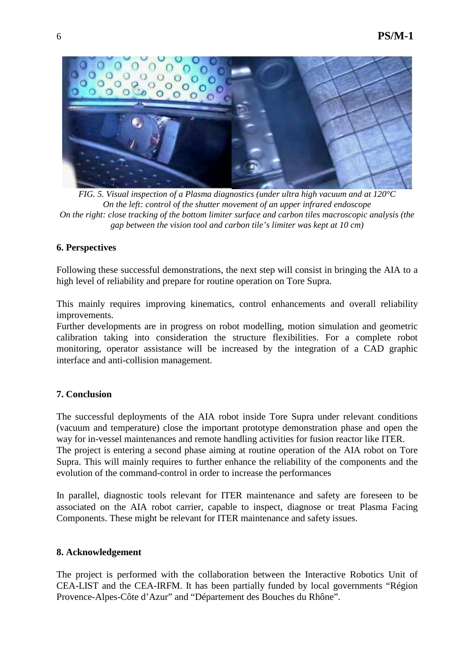

*FIG. 5. Visual inspection of a Plasma diagnostics (under ultra high vacuum and at 120°C On the left: control of the shutter movement of an upper infrared endoscope On the right: close tracking of the bottom limiter surface and carbon tiles macroscopic analysis (the gap between the vision tool and carbon tile's limiter was kept at 10 cm)*

### **6. Perspectives**

Following these successful demonstrations, the next step will consist in bringing the AIA to a high level of reliability and prepare for routine operation on Tore Supra.

This mainly requires improving kinematics, control enhancements and overall reliability improvements.

Further developments are in progress on robot modelling, motion simulation and geometric calibration taking into consideration the structure flexibilities. For a complete robot monitoring, operator assistance will be increased by the integration of a CAD graphic interface and anti-collision management.

# **7. Conclusion**

The successful deployments of the AIA robot inside Tore Supra under relevant conditions (vacuum and temperature) close the important prototype demonstration phase and open the way for in-vessel maintenances and remote handling activities for fusion reactor like ITER. The project is entering a second phase aiming at routine operation of the AIA robot on Tore Supra. This will mainly requires to further enhance the reliability of the components and the evolution of the command-control in order to increase the performances

In parallel, diagnostic tools relevant for ITER maintenance and safety are foreseen to be associated on the AIA robot carrier, capable to inspect, diagnose or treat Plasma Facing Components. These might be relevant for ITER maintenance and safety issues.

### **8. Acknowledgement**

The project is performed with the collaboration between the Interactive Robotics Unit of CEA-LIST and the CEA-IRFM. It has been partially funded by local governments "Région Provence-Alpes-Côte d'Azur" and "Département des Bouches du Rhône".